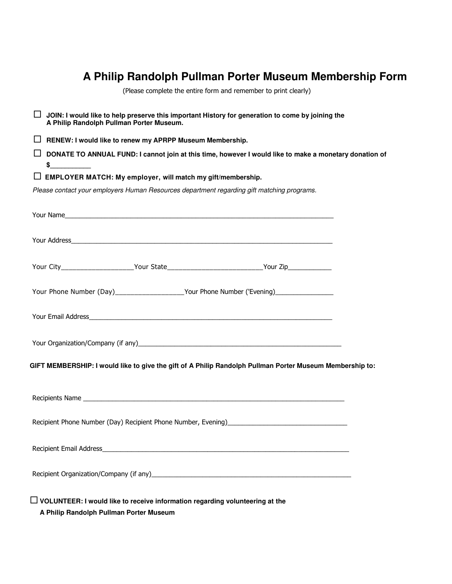## **A Philip Randolph Pullman Porter Museum Membership Form**

(Please complete the entire form and remember to print clearly)

 **JOIN: I would like to help preserve this important History for generation to come by joining the A Philip Randolph Pullman Porter Museum. RENEW: I would like to renew my APRPP Museum Membership. DONATE TO ANNUAL FUND: I cannot join at this time, however I would like to make a monetary donation of**   $$$  **EMPLOYER MATCH: My employer, will match my gift/membership.**  *Please contact your employers Human Resources department regarding gift matching programs.*  Your Name Your Address Your City\_\_\_\_\_\_\_\_\_\_\_\_\_\_\_\_\_\_\_\_\_\_Your State\_\_\_\_\_\_\_\_\_\_\_\_\_\_\_\_\_\_\_\_\_\_\_\_\_\_\_\_\_Your Zip\_\_\_\_\_\_\_\_\_\_\_\_\_\_\_\_\_\_\_\_\_ Your Phone Number (Day)\_\_\_\_\_\_\_\_\_\_\_\_\_\_\_\_\_\_Your Phone Number ('Evening)\_\_\_\_\_\_\_\_\_\_\_ Your Email Address\_ Your Organization/Company (if any) example the state of the state of the state of the state of the state of the state of the state of the state of the state of the state of the state of the state of the state of the state **GIFT MEMBERSHIP: I would like to give the gift of A Philip Randolph Pullman Porter Museum Membership to:**  Recipients Name Recipient Phone Number (Day) Recipient Phone Number, Evening)\_\_\_\_\_\_\_\_\_\_\_\_\_\_\_\_\_\_\_ Recipient Email Address\_ Recipient Organization/Company (if any)\_\_\_\_\_\_\_\_\_\_\_\_\_\_\_\_\_\_\_\_\_\_\_\_\_\_\_\_\_\_\_\_\_\_\_\_\_\_\_\_\_\_\_\_\_\_\_\_\_\_\_\_\_\_\_ **VOLUNTEER: I would like to receive information regarding volunteering at the** 

**A Philip Randolph Pullman Porter Museum**